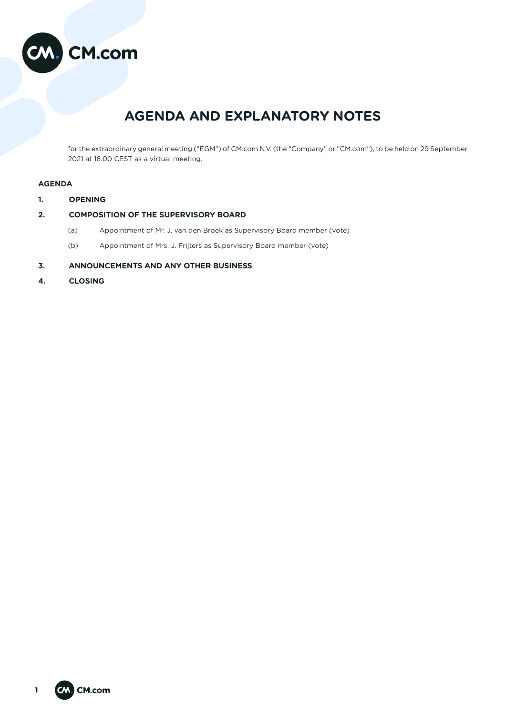

# **AGENDA AND EXPLANATORY NOTES**

for the extraordinary general meeting ("EGM") of CM.com N.V. (the "Company" or "CM.com"), to be held on 29 September 2021 at 16.00 CEST as a virtual meeting.

# **AGENDA**

- **1. OPENING**
- **2. COMPOSITION OF THE SUPERVISORY BOARD** 
	- (a) Appointment of Mr. J. van den Broek as Supervisory Board member (vote)
		- (b) Appointment of Mrs. J. Frijters as Supervisory Board member (vote)
- **3. ANNOUNCEMENTS AND ANY OTHER BUSINESS**
- **4. CLOSING**

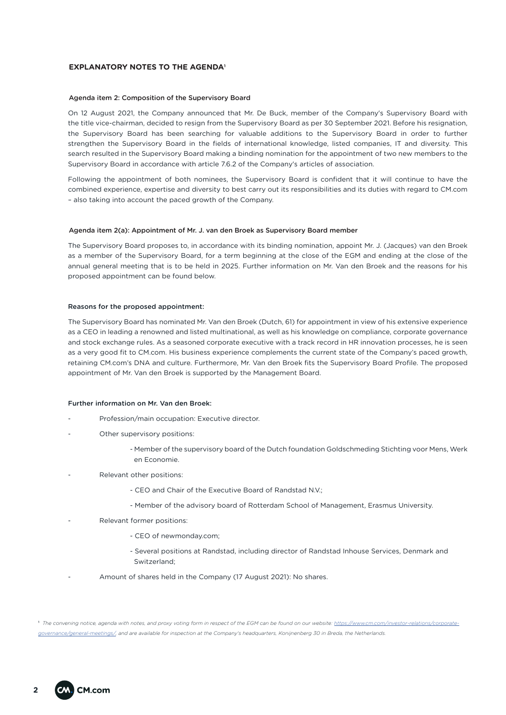# **EXPLANATORY NOTES TO THE AGENDA1**

#### Agenda item 2: Composition of the Supervisory Board

On 12 August 2021, the Company announced that Mr. De Buck, member of the Company's Supervisory Board with the title vice-chairman, decided to resign from the Supervisory Board as per 30 September 2021. Before his resignation, the Supervisory Board has been searching for valuable additions to the Supervisory Board in order to further strengthen the Supervisory Board in the fields of international knowledge, listed companies, IT and diversity. This search resulted in the Supervisory Board making a binding nomination for the appointment of two new members to the Supervisory Board in accordance with article 7.6.2 of the Company's articles of association.

Following the appointment of both nominees, the Supervisory Board is confident that it will continue to have the combined experience, expertise and diversity to best carry out its responsibilities and its duties with regard to CM.com – also taking into account the paced growth of the Company.

#### Agenda item 2(a): Appointment of Mr. J. van den Broek as Supervisory Board member

The Supervisory Board proposes to, in accordance with its binding nomination, appoint Mr. J. (Jacques) van den Broek as a member of the Supervisory Board, for a term beginning at the close of the EGM and ending at the close of the annual general meeting that is to be held in 2025. Further information on Mr. Van den Broek and the reasons for his proposed appointment can be found below.

#### Reasons for the proposed appointment:

The Supervisory Board has nominated Mr. Van den Broek (Dutch, 61) for appointment in view of his extensive experience as a CEO in leading a renowned and listed multinational, as well as his knowledge on compliance, corporate governance and stock exchange rules. As a seasoned corporate executive with a track record in HR innovation processes, he is seen as a very good fit to CM.com. His business experience complements the current state of the Company's paced growth, retaining CM.com's DNA and culture. Furthermore, Mr. Van den Broek fits the Supervisory Board Profile. The proposed appointment of Mr. Van den Broek is supported by the Management Board.

## Further information on Mr. Van den Broek:

- Profession/main occupation: Executive director.
- Other supervisory positions:
	- Member of the supervisory board of the Dutch foundation Goldschmeding Stichting voor Mens, Werk en Economie.
- Relevant other positions:
	- CEO and Chair of the Executive Board of Randstad N.V.;
	- Member of the advisory board of Rotterdam School of Management, Erasmus University.
- Relevant former positions:
	- CEO of newmonday.com;
	- Several positions at Randstad, including director of Randstad Inhouse Services, Denmark and Switzerland;
- Amount of shares held in the Company (17 August 2021): No shares.

1  *The convening notice, agenda with notes, and proxy voting form in respect of the EGM can be found on our website: https://www.cm.com/investor-relations/corporategovernance/general-meetings/, and are available for inspection at the Company's headquarters, Konijnenberg 30 in Breda, the Netherlands.*